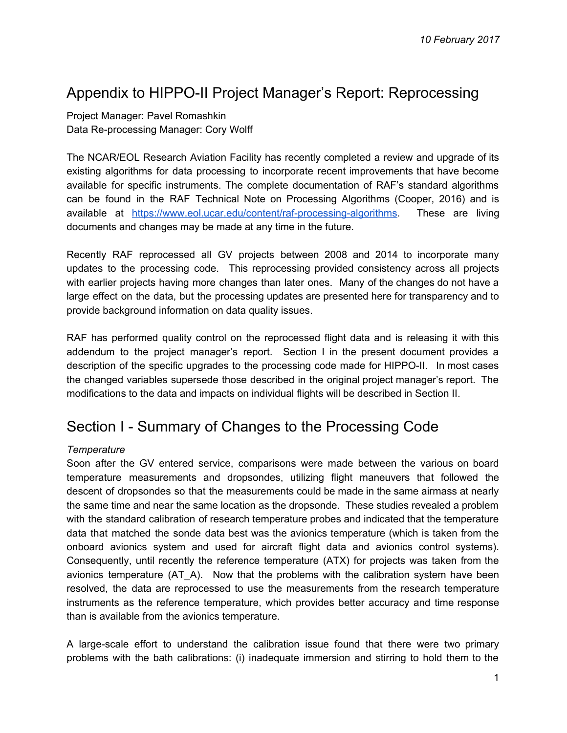# Appendix to HIPPO-II Project Manager's Report: Reprocessing

Project Manager: Pavel Romashkin Data Re-processing Manager: Cory Wolff

The NCAR/EOL Research Aviation Facility has recently completed a review and upgrade of its existing algorithms for data processing to incorporate recent improvements that have become available for specific instruments. The complete documentation of RAF's standard algorithms can be found in the RAF Technical Note on Processing Algorithms (Cooper, 2016) and is available at [https://www.eol.ucar.edu/content/raf-processing-algorithms.](https://www.eol.ucar.edu/content/raf-processing-algorithms) These are living documents and changes may be made at any time in the future.

Recently RAF reprocessed all GV projects between 2008 and 2014 to incorporate many updates to the processing code. This reprocessing provided consistency across all projects with earlier projects having more changes than later ones. Many of the changes do not have a large effect on the data, but the processing updates are presented here for transparency and to provide background information on data quality issues.

RAF has performed quality control on the reprocessed flight data and is releasing it with this addendum to the project manager's report. Section I in the present document provides a description of the specific upgrades to the processing code made for HIPPO-II. In most cases the changed variables supersede those described in the original project manager's report. The modifications to the data and impacts on individual flights will be described in Section II.

# Section I - Summary of Changes to the Processing Code

# *Temperature*

Soon after the GV entered service, comparisons were made between the various on board temperature measurements and dropsondes, utilizing flight maneuvers that followed the descent of dropsondes so that the measurements could be made in the same airmass at nearly the same time and near the same location as the dropsonde. These studies revealed a problem with the standard calibration of research temperature probes and indicated that the temperature data that matched the sonde data best was the avionics temperature (which is taken from the onboard avionics system and used for aircraft flight data and avionics control systems). Consequently, until recently the reference temperature (ATX) for projects was taken from the avionics temperature (AT\_A). Now that the problems with the calibration system have been resolved, the data are reprocessed to use the measurements from the research temperature instruments as the reference temperature, which provides better accuracy and time response than is available from the avionics temperature.

A large-scale effort to understand the calibration issue found that there were two primary problems with the bath calibrations: (i) inadequate immersion and stirring to hold them to the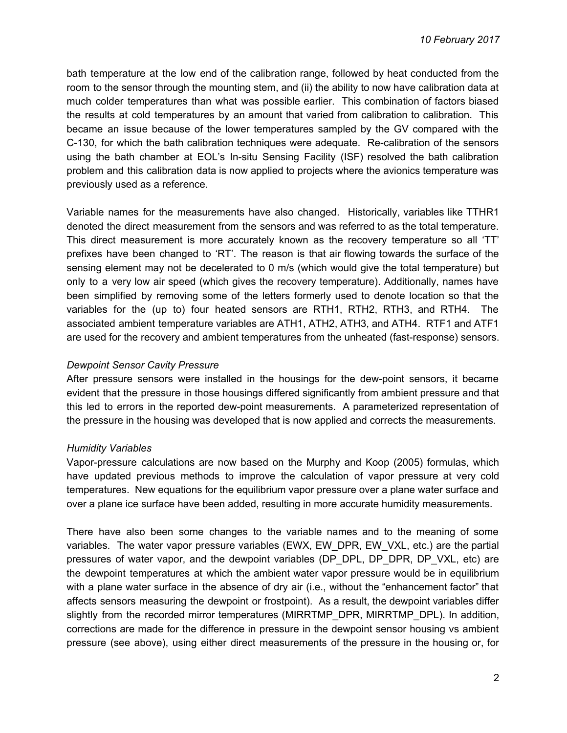bath temperature at the low end of the calibration range, followed by heat conducted from the room to the sensor through the mounting stem, and (ii) the ability to now have calibration data at much colder temperatures than what was possible earlier. This combination of factors biased the results at cold temperatures by an amount that varied from calibration to calibration. This became an issue because of the lower temperatures sampled by the GV compared with the C-130, for which the bath calibration techniques were adequate. Re-calibration of the sensors using the bath chamber at EOL's In-situ Sensing Facility (ISF) resolved the bath calibration problem and this calibration data is now applied to projects where the avionics temperature was previously used as a reference.

Variable names for the measurements have also changed. Historically, variables like TTHR1 denoted the direct measurement from the sensors and was referred to as the total temperature. This direct measurement is more accurately known as the recovery temperature so all 'TT' prefixes have been changed to 'RT'. The reason is that air flowing towards the surface of the sensing element may not be decelerated to 0 m/s (which would give the total temperature) but only to a very low air speed (which gives the recovery temperature). Additionally, names have been simplified by removing some of the letters formerly used to denote location so that the variables for the (up to) four heated sensors are RTH1, RTH2, RTH3, and RTH4. The associated ambient temperature variables are ATH1, ATH2, ATH3, and ATH4. RTF1 and ATF1 are used for the recovery and ambient temperatures from the unheated (fast-response) sensors.

#### *Dewpoint Sensor Cavity Pressure*

After pressure sensors were installed in the housings for the dew-point sensors, it became evident that the pressure in those housings differed significantly from ambient pressure and that this led to errors in the reported dew-point measurements. A parameterized representation of the pressure in the housing was developed that is now applied and corrects the measurements.

#### *Humidity Variables*

Vapor-pressure calculations are now based on the Murphy and Koop (2005) formulas, which have updated previous methods to improve the calculation of vapor pressure at very cold temperatures. New equations for the equilibrium vapor pressure over a plane water surface and over a plane ice surface have been added, resulting in more accurate humidity measurements.

There have also been some changes to the variable names and to the meaning of some variables. The water vapor pressure variables (EWX, EW\_DPR, EW\_VXL, etc.) are the partial pressures of water vapor, and the dewpoint variables (DP\_DPL, DP\_DPR, DP\_VXL, etc) are the dewpoint temperatures at which the ambient water vapor pressure would be in equilibrium with a plane water surface in the absence of dry air (i.e., without the "enhancement factor" that affects sensors measuring the dewpoint or frostpoint). As a result, the dewpoint variables differ slightly from the recorded mirror temperatures (MIRRTMP\_DPR, MIRRTMP\_DPL). In addition, corrections are made for the difference in pressure in the dewpoint sensor housing vs ambient pressure (see above), using either direct measurements of the pressure in the housing or, for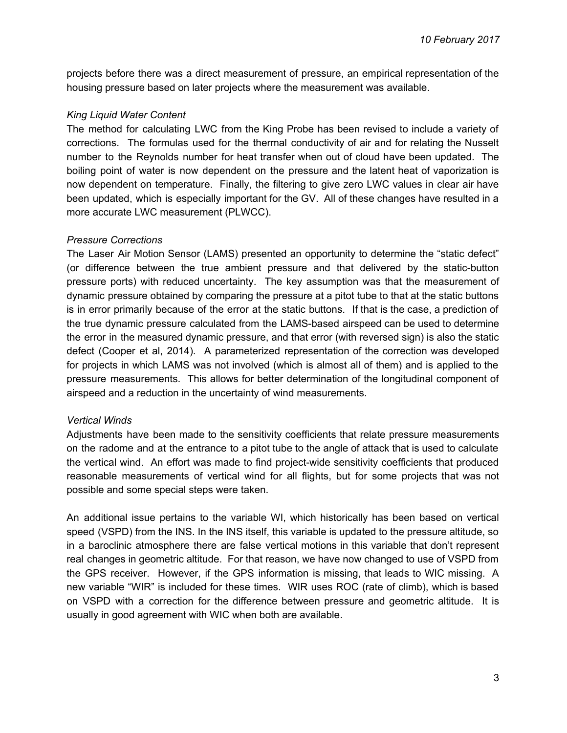projects before there was a direct measurement of pressure, an empirical representation of the housing pressure based on later projects where the measurement was available.

#### *King Liquid Water Content*

The method for calculating LWC from the King Probe has been revised to include a variety of corrections. The formulas used for the thermal conductivity of air and for relating the Nusselt number to the Reynolds number for heat transfer when out of cloud have been updated. The boiling point of water is now dependent on the pressure and the latent heat of vaporization is now dependent on temperature. Finally, the filtering to give zero LWC values in clear air have been updated, which is especially important for the GV. All of these changes have resulted in a more accurate LWC measurement (PLWCC).

#### *Pressure Corrections*

The Laser Air Motion Sensor (LAMS) presented an opportunity to determine the "static defect" (or difference between the true ambient pressure and that delivered by the static-button pressure ports) with reduced uncertainty. The key assumption was that the measurement of dynamic pressure obtained by comparing the pressure at a pitot tube to that at the static buttons is in error primarily because of the error at the static buttons. If that is the case, a prediction of the true dynamic pressure calculated from the LAMS-based airspeed can be used to determine the error in the measured dynamic pressure, and that error (with reversed sign) is also the static defect (Cooper et al, 2014). A parameterized representation of the correction was developed for projects in which LAMS was not involved (which is almost all of them) and is applied to the pressure measurements. This allows for better determination of the longitudinal component of airspeed and a reduction in the uncertainty of wind measurements.

#### *Vertical Winds*

Adjustments have been made to the sensitivity coefficients that relate pressure measurements on the radome and at the entrance to a pitot tube to the angle of attack that is used to calculate the vertical wind. An effort was made to find project-wide sensitivity coefficients that produced reasonable measurements of vertical wind for all flights, but for some projects that was not possible and some special steps were taken.

An additional issue pertains to the variable WI, which historically has been based on vertical speed (VSPD) from the INS. In the INS itself, this variable is updated to the pressure altitude, so in a baroclinic atmosphere there are false vertical motions in this variable that don't represent real changes in geometric altitude. For that reason, we have now changed to use of VSPD from the GPS receiver. However, if the GPS information is missing, that leads to WIC missing. A new variable "WIR" is included for these times. WIR uses ROC (rate of climb), which is based on VSPD with a correction for the difference between pressure and geometric altitude. It is usually in good agreement with WIC when both are available.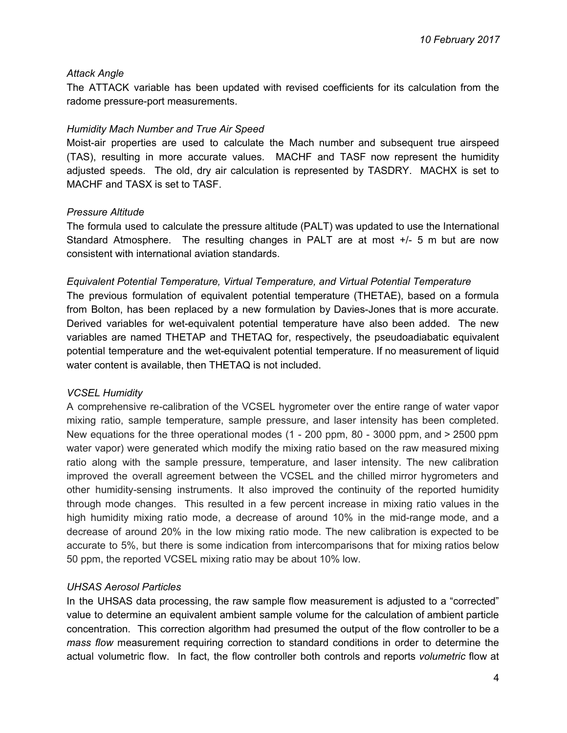#### *Attack Angle*

The ATTACK variable has been updated with revised coefficients for its calculation from the radome pressure-port measurements.

#### *Humidity Mach Number and True Air Speed*

Moist-air properties are used to calculate the Mach number and subsequent true airspeed (TAS), resulting in more accurate values. MACHF and TASF now represent the humidity adjusted speeds. The old, dry air calculation is represented by TASDRY. MACHX is set to MACHF and TASX is set to TASF.

#### *Pressure Altitude*

The formula used to calculate the pressure altitude (PALT) was updated to use the International Standard Atmosphere. The resulting changes in PALT are at most +/- 5 m but are now consistent with international aviation standards.

#### *Equivalent Potential Temperature, Virtual Temperature, and Virtual Potential Temperature*

The previous formulation of equivalent potential temperature (THETAE), based on a formula from Bolton, has been replaced by a new formulation by Davies-Jones that is more accurate. Derived variables for wet-equivalent potential temperature have also been added. The new variables are named THETAP and THETAQ for, respectively, the pseudoadiabatic equivalent potential temperature and the wet-equivalent potential temperature. If no measurement of liquid water content is available, then THETAQ is not included.

#### *VCSEL Humidity*

A comprehensive re-calibration of the VCSEL hygrometer over the entire range of water vapor mixing ratio, sample temperature, sample pressure, and laser intensity has been completed. New equations for the three operational modes (1 - 200 ppm, 80 - 3000 ppm, and > 2500 ppm water vapor) were generated which modify the mixing ratio based on the raw measured mixing ratio along with the sample pressure, temperature, and laser intensity. The new calibration improved the overall agreement between the VCSEL and the chilled mirror hygrometers and other humidity-sensing instruments. It also improved the continuity of the reported humidity through mode changes. This resulted in a few percent increase in mixing ratio values in the high humidity mixing ratio mode, a decrease of around 10% in the mid-range mode, and a decrease of around 20% in the low mixing ratio mode. The new calibration is expected to be accurate to 5%, but there is some indication from intercomparisons that for mixing ratios below 50 ppm, the reported VCSEL mixing ratio may be about 10% low.

#### *UHSAS Aerosol Particles*

In the UHSAS data processing, the raw sample flow measurement is adjusted to a "corrected" value to determine an equivalent ambient sample volume for the calculation of ambient particle concentration. This correction algorithm had presumed the output of the flow controller to be a *mass flow* measurement requiring correction to standard conditions in order to determine the actual volumetric flow. In fact, the flow controller both controls and reports *volumetric* flow at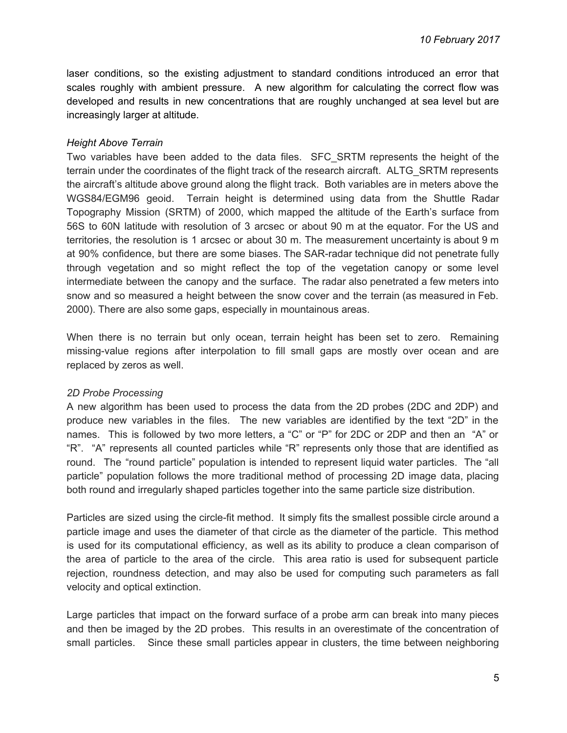laser conditions, so the existing adjustment to standard conditions introduced an error that scales roughly with ambient pressure. A new algorithm for calculating the correct flow was developed and results in new concentrations that are roughly unchanged at sea level but are increasingly larger at altitude.

#### *Height Above Terrain*

Two variables have been added to the data files. SFC\_SRTM represents the height of the terrain under the coordinates of the flight track of the research aircraft. ALTG\_SRTM represents the aircraft's altitude above ground along the flight track. Both variables are in meters above the WGS84/EGM96 geoid. Terrain height is determined using data from the Shuttle Radar Topography Mission (SRTM) of 2000, which mapped the altitude of the Earth's surface from 56S to 60N latitude with resolution of 3 arcsec or about 90 m at the equator. For the US and territories, the resolution is 1 arcsec or about 30 m. The measurement uncertainty is about 9 m at 90% confidence, but there are some biases. The SAR-radar technique did not penetrate fully through vegetation and so might reflect the top of the vegetation canopy or some level intermediate between the canopy and the surface. The radar also penetrated a few meters into snow and so measured a height between the snow cover and the terrain (as measured in Feb. 2000). There are also some gaps, especially in mountainous areas.

When there is no terrain but only ocean, terrain height has been set to zero. Remaining missing-value regions after interpolation to fill small gaps are mostly over ocean and are replaced by zeros as well.

#### *2D Probe Processing*

A new algorithm has been used to process the data from the 2D probes (2DC and 2DP) and produce new variables in the files. The new variables are identified by the text "2D" in the names. This is followed by two more letters, a "C" or "P" for 2DC or 2DP and then an "A" or "R". "A" represents all counted particles while "R" represents only those that are identified as round. The "round particle" population is intended to represent liquid water particles. The "all particle" population follows the more traditional method of processing 2D image data, placing both round and irregularly shaped particles together into the same particle size distribution.

Particles are sized using the circle-fit method. It simply fits the smallest possible circle around a particle image and uses the diameter of that circle as the diameter of the particle. This method is used for its computational efficiency, as well as its ability to produce a clean comparison of the area of particle to the area of the circle. This area ratio is used for subsequent particle rejection, roundness detection, and may also be used for computing such parameters as fall velocity and optical extinction.

Large particles that impact on the forward surface of a probe arm can break into many pieces and then be imaged by the 2D probes. This results in an overestimate of the concentration of small particles. Since these small particles appear in clusters, the time between neighboring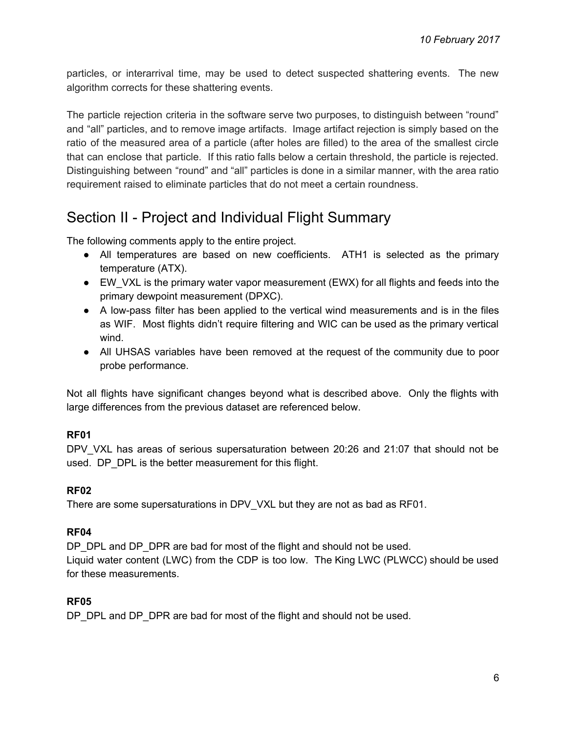particles, or interarrival time, may be used to detect suspected shattering events. The new algorithm corrects for these shattering events.

The particle rejection criteria in the software serve two purposes, to distinguish between "round" and "all" particles, and to remove image artifacts. Image artifact rejection is simply based on the ratio of the measured area of a particle (after holes are filled) to the area of the smallest circle that can enclose that particle. If this ratio falls below a certain threshold, the particle is rejected. Distinguishing between "round" and "all" particles is done in a similar manner, with the area ratio requirement raised to eliminate particles that do not meet a certain roundness.

# Section II - Project and Individual Flight Summary

The following comments apply to the entire project.

- All temperatures are based on new coefficients. ATH1 is selected as the primary temperature (ATX).
- EW VXL is the primary water vapor measurement (EWX) for all flights and feeds into the primary dewpoint measurement (DPXC).
- A low-pass filter has been applied to the vertical wind measurements and is in the files as WIF. Most flights didn't require filtering and WIC can be used as the primary vertical wind.
- All UHSAS variables have been removed at the request of the community due to poor probe performance.

Not all flights have significant changes beyond what is described above. Only the flights with large differences from the previous dataset are referenced below.

# **RF01**

DPV VXL has areas of serious supersaturation between 20:26 and 21:07 that should not be used. DP\_DPL is the better measurement for this flight.

# **RF02**

There are some supersaturations in DPV\_VXL but they are not as bad as RF01.

# **RF04**

DP\_DPL and DP\_DPR are bad for most of the flight and should not be used. Liquid water content (LWC) from the CDP is too low. The King LWC (PLWCC) should be used for these measurements.

# **RF05**

DP\_DPL and DP\_DPR are bad for most of the flight and should not be used.